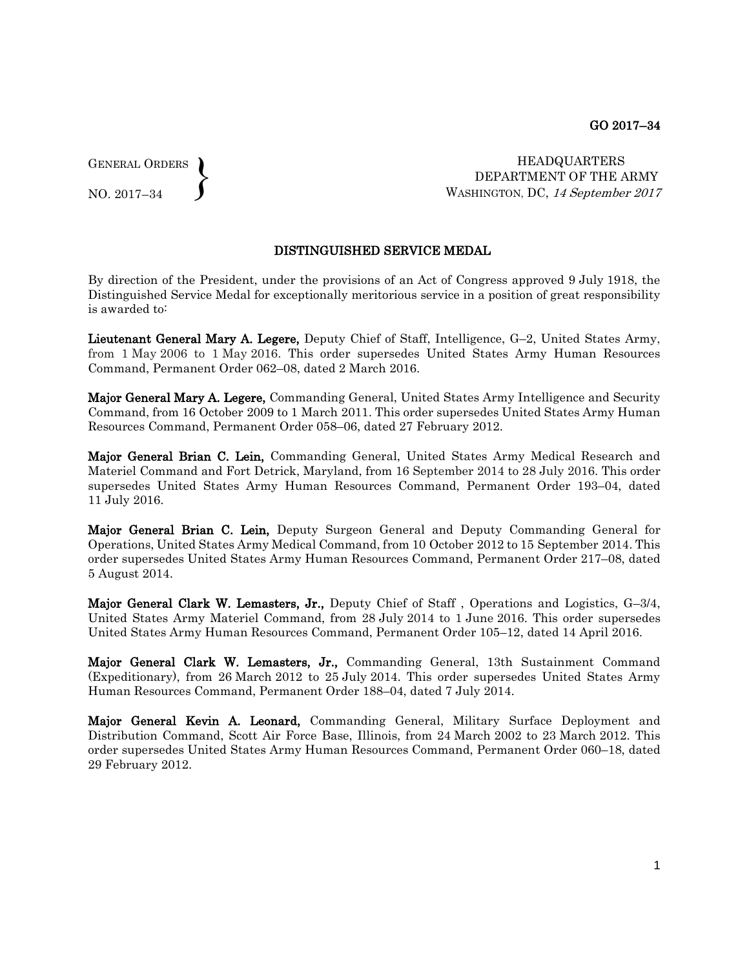GENERAL ORDERS  $\left\{ \right\}$ 

NO. 2017–34

HEADQUARTERS DEPARTMENT OF THE ARMY WASHINGTON, DC, 14 September 2017

## DISTINGUISHED SERVICE MEDAL

By direction of the President, under the provisions of an Act of Congress approved 9 July 1918, the Distinguished Service Medal for exceptionally meritorious service in a position of great responsibility is awarded to:

Lieutenant General Mary A. Legere, Deputy Chief of Staff, Intelligence, G–2, United States Army, from 1 May 2006 to 1 May 2016. This order supersedes United States Army Human Resources Command, Permanent Order 062–08, dated 2 March 2016.

Major General Mary A. Legere, Commanding General, United States Army Intelligence and Security Command, from 16 October 2009 to 1 March 2011. This order supersedes United States Army Human Resources Command, Permanent Order 058–06, dated 27 February 2012.

Major General Brian C. Lein, Commanding General, United States Army Medical Research and Materiel Command and Fort Detrick, Maryland, from 16 September 2014 to 28 July 2016. This order supersedes United States Army Human Resources Command, Permanent Order 193–04, dated 11 July 2016.

Major General Brian C. Lein, Deputy Surgeon General and Deputy Commanding General for Operations, United States Army Medical Command, from 10 October 2012 to 15 September 2014. This order supersedes United States Army Human Resources Command, Permanent Order 217–08, dated 5 August 2014.

Major General Clark W. Lemasters, Jr., Deputy Chief of Staff, Operations and Logistics, G-3/4, United States Army Materiel Command, from 28 July 2014 to 1 June 2016. This order supersedes United States Army Human Resources Command, Permanent Order 105–12, dated 14 April 2016.

Major General Clark W. Lemasters, Jr., Commanding General, 13th Sustainment Command (Expeditionary), from 26 March 2012 to 25 July 2014. This order supersedes United States Army Human Resources Command, Permanent Order 188–04, dated 7 July 2014.

Major General Kevin A. Leonard, Commanding General, Military Surface Deployment and Distribution Command, Scott Air Force Base, Illinois, from 24 March 2002 to 23 March 2012. This order supersedes United States Army Human Resources Command, Permanent Order 060–18, dated 29 February 2012.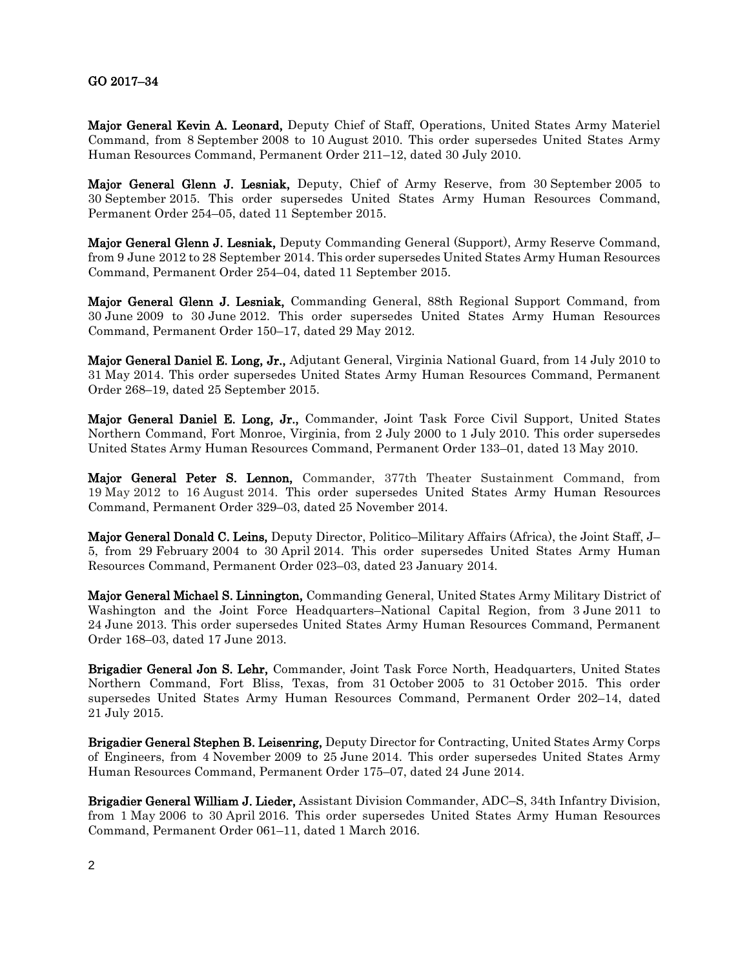## GO 2017–34

Major General Kevin A. Leonard, Deputy Chief of Staff, Operations, United States Army Materiel Command, from 8 September 2008 to 10 August 2010. This order supersedes United States Army Human Resources Command, Permanent Order 211–12, dated 30 July 2010.

Major General Glenn J. Lesniak, Deputy, Chief of Army Reserve, from 30 September 2005 to 30 September 2015. This order supersedes United States Army Human Resources Command, Permanent Order 254–05, dated 11 September 2015.

Major General Glenn J. Lesniak, Deputy Commanding General (Support), Army Reserve Command, from 9 June 2012 to 28 September 2014. This order supersedes United States Army Human Resources Command, Permanent Order 254–04, dated 11 September 2015.

Major General Glenn J. Lesniak, Commanding General, 88th Regional Support Command, from 30 June 2009 to 30 June 2012. This order supersedes United States Army Human Resources Command, Permanent Order 150–17, dated 29 May 2012.

Major General Daniel E. Long, Jr., Adjutant General, Virginia National Guard, from 14 July 2010 to 31 May 2014. This order supersedes United States Army Human Resources Command, Permanent Order 268–19, dated 25 September 2015.

Major General Daniel E. Long, Jr., Commander, Joint Task Force Civil Support, United States Northern Command, Fort Monroe, Virginia, from 2 July 2000 to 1 July 2010. This order supersedes United States Army Human Resources Command, Permanent Order 133–01, dated 13 May 2010.

Major General Peter S. Lennon, Commander, 377th Theater Sustainment Command, from 19 May 2012 to 16 August 2014. This order supersedes United States Army Human Resources Command, Permanent Order 329–03, dated 25 November 2014.

Major General Donald C. Leins, Deputy Director, Politico–Military Affairs (Africa), the Joint Staff, J– 5, from 29 February 2004 to 30 April 2014. This order supersedes United States Army Human Resources Command, Permanent Order 023–03, dated 23 January 2014.

Major General Michael S. Linnington, Commanding General, United States Army Military District of Washington and the Joint Force Headquarters–National Capital Region, from 3 June 2011 to 24 June 2013. This order supersedes United States Army Human Resources Command, Permanent Order 168–03, dated 17 June 2013.

Brigadier General Jon S. Lehr, Commander, Joint Task Force North, Headquarters, United States Northern Command, Fort Bliss, Texas, from 31 October 2005 to 31 October 2015. This order supersedes United States Army Human Resources Command, Permanent Order 202–14, dated 21 July 2015.

Brigadier General Stephen B. Leisenring, Deputy Director for Contracting, United States Army Corps of Engineers, from 4 November 2009 to 25 June 2014. This order supersedes United States Army Human Resources Command, Permanent Order 175–07, dated 24 June 2014.

Brigadier General William J. Lieder, Assistant Division Commander, ADC–S, 34th Infantry Division, from 1 May 2006 to 30 April 2016. This order supersedes United States Army Human Resources Command, Permanent Order 061–11, dated 1 March 2016.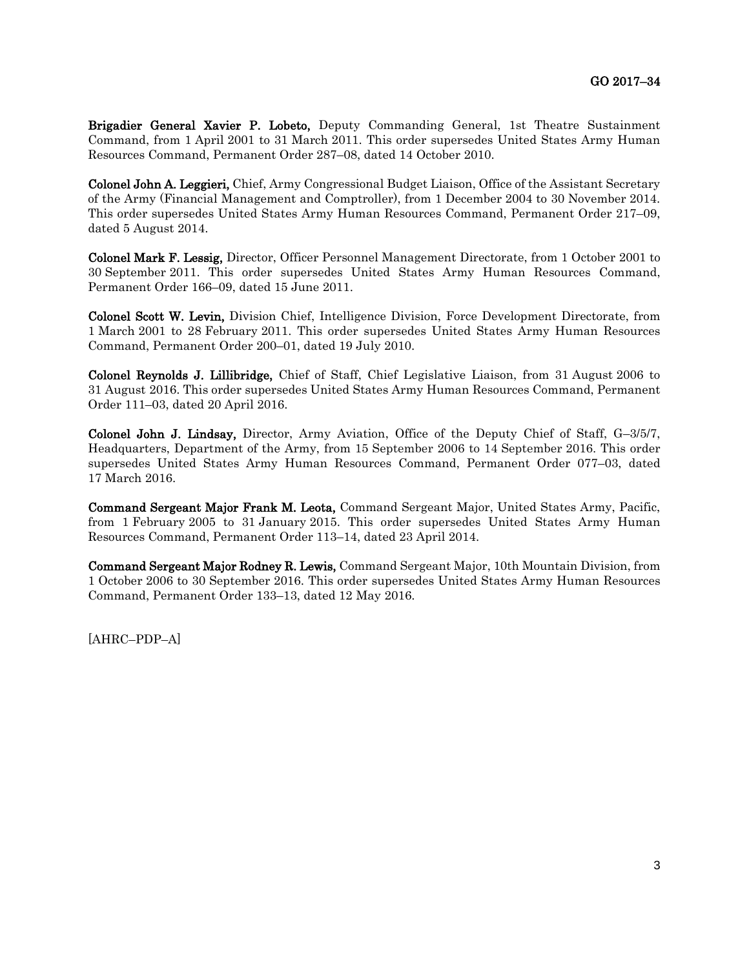Brigadier General Xavier P. Lobeto, Deputy Commanding General, 1st Theatre Sustainment Command, from 1 April 2001 to 31 March 2011. This order supersedes United States Army Human Resources Command, Permanent Order 287–08, dated 14 October 2010.

Colonel John A. Leggieri, Chief, Army Congressional Budget Liaison, Office of the Assistant Secretary of the Army (Financial Management and Comptroller), from 1 December 2004 to 30 November 2014. This order supersedes United States Army Human Resources Command, Permanent Order 217–09, dated 5 August 2014.

Colonel Mark F. Lessig, Director, Officer Personnel Management Directorate, from 1 October 2001 to 30 September 2011. This order supersedes United States Army Human Resources Command, Permanent Order 166–09, dated 15 June 2011.

Colonel Scott W. Levin, Division Chief, Intelligence Division, Force Development Directorate, from 1 March 2001 to 28 February 2011. This order supersedes United States Army Human Resources Command, Permanent Order 200–01, dated 19 July 2010.

Colonel Reynolds J. Lillibridge, Chief of Staff, Chief Legislative Liaison, from 31 August 2006 to 31 August 2016. This order supersedes United States Army Human Resources Command, Permanent Order 111–03, dated 20 April 2016.

Colonel John J. Lindsay, Director, Army Aviation, Office of the Deputy Chief of Staff, G–3/5/7, Headquarters, Department of the Army, from 15 September 2006 to 14 September 2016. This order supersedes United States Army Human Resources Command, Permanent Order 077–03, dated 17 March 2016.

Command Sergeant Major Frank M. Leota, Command Sergeant Major, United States Army, Pacific, from 1 February 2005 to 31 January 2015. This order supersedes United States Army Human Resources Command, Permanent Order 113–14, dated 23 April 2014.

Command Sergeant Major Rodney R. Lewis, Command Sergeant Major, 10th Mountain Division, from 1 October 2006 to 30 September 2016. This order supersedes United States Army Human Resources Command, Permanent Order 133–13, dated 12 May 2016.

[AHRC–PDP–A]